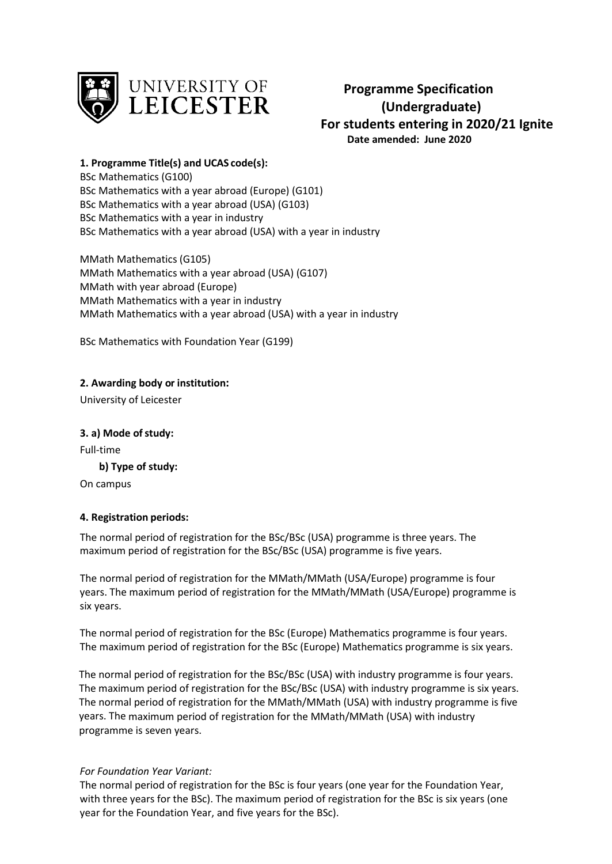

**Programme Specification (Undergraduate) For students entering in 2020/21 Ignite Date amended: June 2020**

**1. Programme Title(s) and UCAS code(s):**

BSc Mathematics (G100) BSc Mathematics with a year abroad (Europe) (G101) BSc Mathematics with a year abroad (USA) (G103) BSc Mathematics with a year in industry BSc Mathematics with a year abroad (USA) with a year in industry

MMath Mathematics (G105) MMath Mathematics with a year abroad (USA) (G107) MMath with year abroad (Europe) MMath Mathematics with a year in industry MMath Mathematics with a year abroad (USA) with a year in industry

BSc Mathematics with Foundation Year (G199)

**2. Awarding body or institution:**

University of Leicester

**3. a) Mode ofstudy:** Full-time

**b) Type of study:**

On campus

# **4. Registration periods:**

The normal period of registration for the BSc/BSc (USA) programme is three years. The maximum period of registration for the BSc/BSc (USA) programme is five years.

The normal period of registration for the MMath/MMath (USA/Europe) programme is four years. The maximum period of registration for the MMath/MMath (USA/Europe) programme is six years.

The normal period of registration for the BSc (Europe) Mathematics programme is four years. The maximum period of registration for the BSc (Europe) Mathematics programme is six years.

The normal period of registration for the BSc/BSc (USA) with industry programme is four years. The maximum period of registration for the BSc/BSc (USA) with industry programme is six years. The normal period of registration for the MMath/MMath (USA) with industry programme is five years. The maximum period of registration for the MMath/MMath (USA) with industry programme is seven years.

### *For Foundation Year Variant:*

The normal period of registration for the BSc is four years (one year for the Foundation Year, with three years for the BSc). The maximum period of registration for the BSc is six years (one year for the Foundation Year, and five years for the BSc).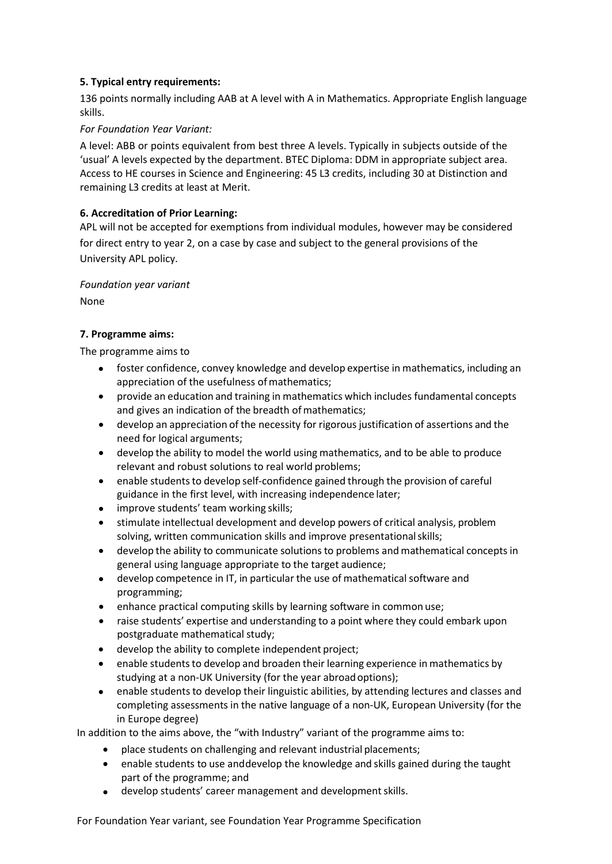# **5. Typical entry requirements:**

136 points normally including AAB at A level with A in Mathematics. Appropriate English language skills.

## *For Foundation Year Variant:*

A level: ABB or points equivalent from best three A levels. Typically in subjects outside of the 'usual' A levels expected by the department. BTEC Diploma: DDM in appropriate subject area. Access to HE courses in Science and Engineering: 45 L3 credits, including 30 at Distinction and remaining L3 credits at least at Merit.

# **6. Accreditation of Prior Learning:**

APL will not be accepted for exemptions from individual modules, however may be considered for direct entry to year 2, on a case by case and subject to the general provisions of the University APL policy.

### *Foundation year variant*

None

# **7. Programme aims:**

The programme aims to

- foster confidence, convey knowledge and develop expertise in mathematics, including an appreciation of the usefulness of mathematics;
- provide an education and training in mathematics which includes fundamental concepts and gives an indication of the breadth of mathematics;
- develop an appreciation of the necessity for rigorousjustification of assertions and the need for logical arguments;
- develop the ability to model the world using mathematics, and to be able to produce relevant and robust solutions to real world problems;
- enable students to develop self-confidence gained through the provision of careful guidance in the first level, with increasing independence later;
- improve students' team working skills;
- stimulate intellectual development and develop powers of critical analysis, problem solving, written communication skills and improve presentationalskills;
- develop the ability to communicate solutionsto problems and mathematical concepts in general using language appropriate to the target audience;
- develop competence in IT, in particular the use of mathematical software and programming;
- enhance practical computing skills by learning software in common use;
- raise students' expertise and understanding to a point where they could embark upon postgraduate mathematical study;
- develop the ability to complete independent project;
- enable students to develop and broaden their learning experience in mathematics by studying at a non-UK University (for the year abroadoptions);
- enable students to develop their linguistic abilities, by attending lectures and classes and completing assessments in the native language of a non-UK, European University (for the in Europe degree)

In addition to the aims above, the "with Industry" variant of the programme aims to:

- place students on challenging and relevant industrial placements;
- enable students to use anddevelop the knowledge and skills gained during the taught part of the programme; and
- develop students' career management and development skills.

For Foundation Year variant, see Foundation Year Programme Specification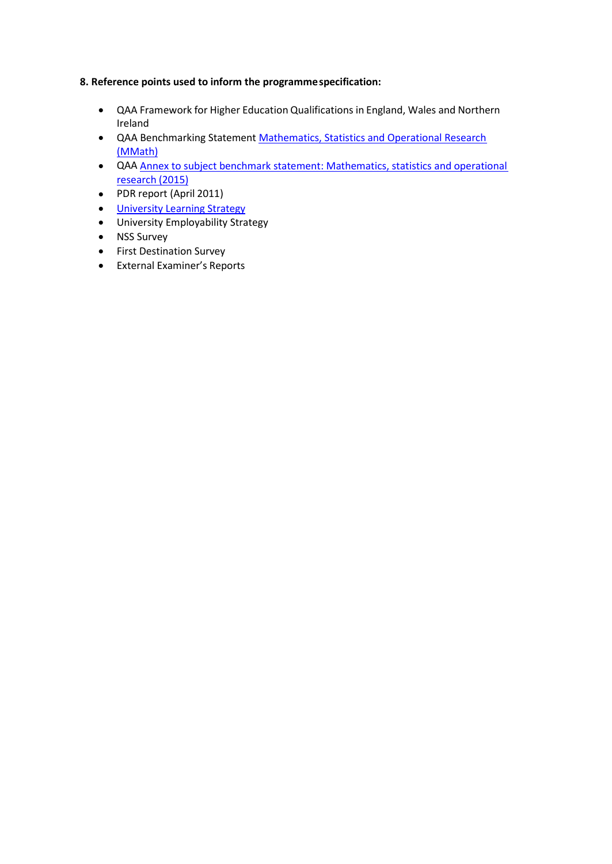# **8. Reference points used to inform the programmespecification:**

- QAA Framework for Higher Education Qualifications in England, Wales and Northern Ireland
- QAA Benchmarking Statement [Mathematics, Statistics and Operational Research](http://www.qaa.ac.uk/en/Publications/Documents/Subject-benchmark-statement-Mathematics-statistics-and-operational-research.pdf) [\(MMath\)](http://www.qaa.ac.uk/en/Publications/Documents/Subject-benchmark-statement-Mathematics-statistics-and-operational-research.pdf)
- QAA Annex to subject benchmark statement: Mathematics, statistics and operational research (2015)
- PDR report (April 2011)
- **[University Learning](http://www2.le.ac.uk/offices/sas2/quality/learnteach) Strategy**
- University Employability Strategy
- NSS Survey
- First Destination Survey
- External Examiner's Reports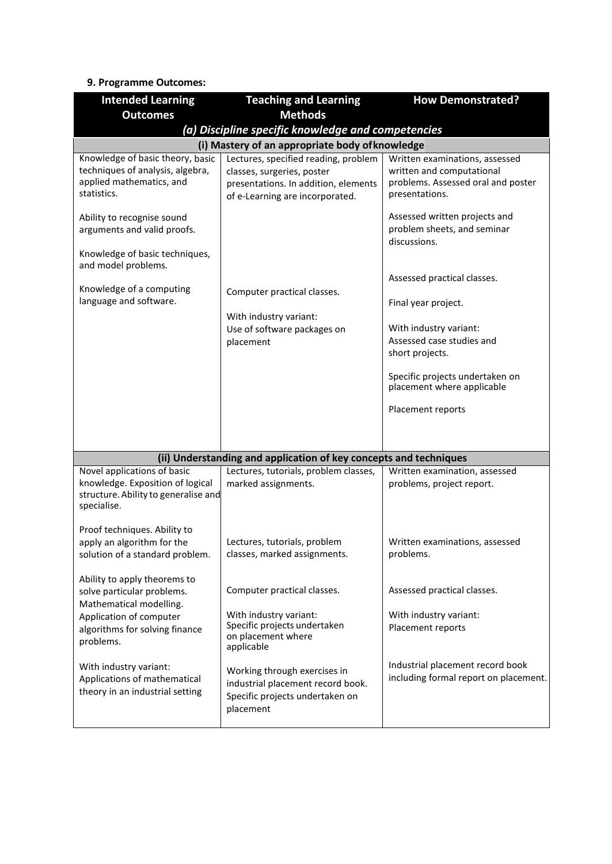# **9. Programme Outcomes:**

| <b>Intended Learning</b>                                                                                               | <b>Teaching and Learning</b>                                                                                                                  | <b>How Demonstrated?</b>                                                                                            |
|------------------------------------------------------------------------------------------------------------------------|-----------------------------------------------------------------------------------------------------------------------------------------------|---------------------------------------------------------------------------------------------------------------------|
| <b>Outcomes</b>                                                                                                        | <b>Methods</b>                                                                                                                                |                                                                                                                     |
|                                                                                                                        | (a) Discipline specific knowledge and competencies                                                                                            |                                                                                                                     |
|                                                                                                                        | (i) Mastery of an appropriate body of knowledge                                                                                               |                                                                                                                     |
| Knowledge of basic theory, basic<br>techniques of analysis, algebra,<br>applied mathematics, and<br>statistics.        | Lectures, specified reading, problem<br>classes, surgeries, poster<br>presentations. In addition, elements<br>of e-Learning are incorporated. | Written examinations, assessed<br>written and computational<br>problems. Assessed oral and poster<br>presentations. |
| Ability to recognise sound<br>arguments and valid proofs.<br>Knowledge of basic techniques,<br>and model problems.     |                                                                                                                                               | Assessed written projects and<br>problem sheets, and seminar<br>discussions.                                        |
| Knowledge of a computing                                                                                               | Computer practical classes.                                                                                                                   | Assessed practical classes.                                                                                         |
| language and software.                                                                                                 | With industry variant:                                                                                                                        | Final year project.                                                                                                 |
|                                                                                                                        | Use of software packages on<br>placement                                                                                                      | With industry variant:<br>Assessed case studies and<br>short projects.                                              |
|                                                                                                                        |                                                                                                                                               | Specific projects undertaken on<br>placement where applicable                                                       |
|                                                                                                                        |                                                                                                                                               | Placement reports                                                                                                   |
|                                                                                                                        |                                                                                                                                               |                                                                                                                     |
|                                                                                                                        | (ii) Understanding and application of key concepts and techniques                                                                             |                                                                                                                     |
| Novel applications of basic<br>knowledge. Exposition of logical<br>structure. Ability to generalise and<br>specialise. | Lectures, tutorials, problem classes,<br>marked assignments.                                                                                  | Written examination, assessed<br>problems, project report.                                                          |
| Proof techniques. Ability to<br>apply an algorithm for the<br>solution of a standard problem.                          | Lectures, tutorials, problem<br>classes, marked assignments.                                                                                  | Written examinations, assessed<br>problems.                                                                         |
| Ability to apply theorems to<br>solve particular problems.<br>Mathematical modelling.                                  | Computer practical classes.                                                                                                                   | Assessed practical classes.                                                                                         |
| Application of computer<br>algorithms for solving finance<br>problems.                                                 | With industry variant:<br>Specific projects undertaken<br>on placement where<br>applicable                                                    | With industry variant:<br>Placement reports                                                                         |
| With industry variant:<br>Applications of mathematical<br>theory in an industrial setting                              | Working through exercises in<br>industrial placement record book.<br>Specific projects undertaken on<br>placement                             | Industrial placement record book<br>including formal report on placement.                                           |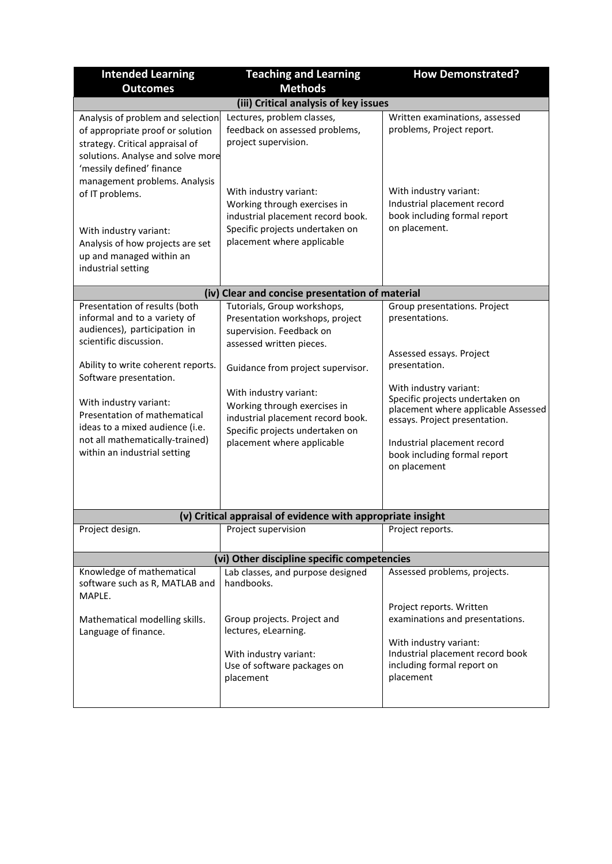| <b>Intended Learning</b>                                                                                                                                                                                    | <b>Teaching and Learning</b>                                                                                                                                 | <b>How Demonstrated?</b>                                                                                                                                                                                         |
|-------------------------------------------------------------------------------------------------------------------------------------------------------------------------------------------------------------|--------------------------------------------------------------------------------------------------------------------------------------------------------------|------------------------------------------------------------------------------------------------------------------------------------------------------------------------------------------------------------------|
| <b>Outcomes</b>                                                                                                                                                                                             | <b>Methods</b>                                                                                                                                               |                                                                                                                                                                                                                  |
|                                                                                                                                                                                                             | (iii) Critical analysis of key issues                                                                                                                        |                                                                                                                                                                                                                  |
| Analysis of problem and selection<br>of appropriate proof or solution<br>strategy. Critical appraisal of<br>solutions. Analyse and solve more<br>'messily defined' finance<br>management problems. Analysis | Lectures, problem classes,<br>feedback on assessed problems,<br>project supervision.                                                                         | Written examinations, assessed<br>problems, Project report.                                                                                                                                                      |
| of IT problems.<br>With industry variant:<br>Analysis of how projects are set<br>up and managed within an<br>industrial setting                                                                             | With industry variant:<br>Working through exercises in<br>industrial placement record book.<br>Specific projects undertaken on<br>placement where applicable | With industry variant:<br>Industrial placement record<br>book including formal report<br>on placement.                                                                                                           |
|                                                                                                                                                                                                             | (iv) Clear and concise presentation of material                                                                                                              |                                                                                                                                                                                                                  |
| Presentation of results (both<br>informal and to a variety of<br>audiences), participation in<br>scientific discussion.                                                                                     | Tutorials, Group workshops,<br>Presentation workshops, project<br>supervision. Feedback on                                                                   | Group presentations. Project<br>presentations.                                                                                                                                                                   |
| Ability to write coherent reports.                                                                                                                                                                          | assessed written pieces.<br>Guidance from project supervisor.                                                                                                | Assessed essays. Project<br>presentation.                                                                                                                                                                        |
| Software presentation.<br>With industry variant:<br>Presentation of mathematical<br>ideas to a mixed audience (i.e.<br>not all mathematically-trained)<br>within an industrial setting                      | With industry variant:<br>Working through exercises in<br>industrial placement record book.<br>Specific projects undertaken on<br>placement where applicable | With industry variant:<br>Specific projects undertaken on<br>placement where applicable Assessed<br>essays. Project presentation.<br>Industrial placement record<br>book including formal report<br>on placement |
|                                                                                                                                                                                                             | (v) Critical appraisal of evidence with appropriate insight                                                                                                  |                                                                                                                                                                                                                  |
| Project design.                                                                                                                                                                                             | Project supervision                                                                                                                                          | Project reports.                                                                                                                                                                                                 |
|                                                                                                                                                                                                             | (vi) Other discipline specific competencies                                                                                                                  |                                                                                                                                                                                                                  |
| Knowledge of mathematical<br>software such as R, MATLAB and<br>MAPLE.                                                                                                                                       | Lab classes, and purpose designed<br>handbooks.                                                                                                              | Assessed problems, projects.                                                                                                                                                                                     |
| Mathematical modelling skills.<br>Language of finance.                                                                                                                                                      | Group projects. Project and<br>lectures, eLearning.                                                                                                          | Project reports. Written<br>examinations and presentations.<br>With industry variant:                                                                                                                            |
|                                                                                                                                                                                                             | With industry variant:<br>Use of software packages on<br>placement                                                                                           | Industrial placement record book<br>including formal report on<br>placement                                                                                                                                      |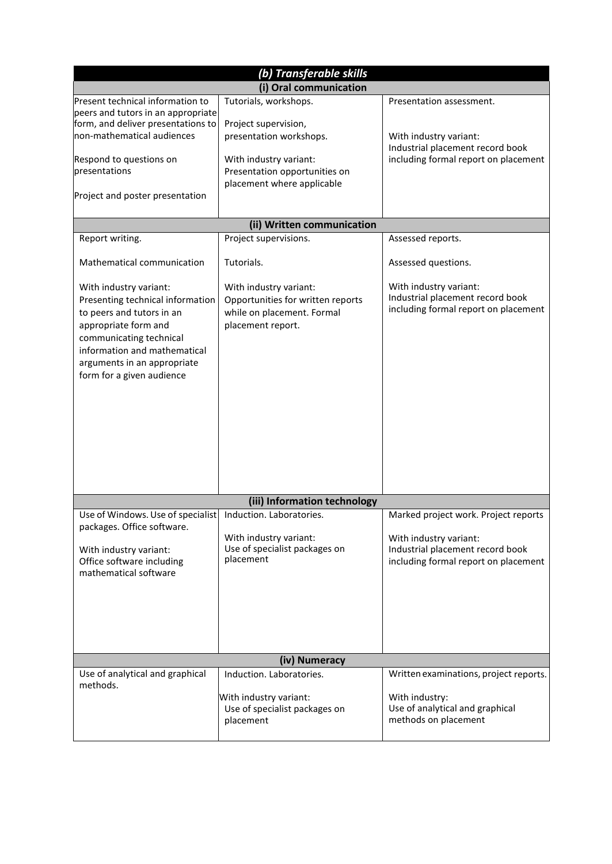| (b) Transferable skills                                                                                                                                                                                                                |                                                                                                                                                                   |                                                                                                                                            |
|----------------------------------------------------------------------------------------------------------------------------------------------------------------------------------------------------------------------------------------|-------------------------------------------------------------------------------------------------------------------------------------------------------------------|--------------------------------------------------------------------------------------------------------------------------------------------|
|                                                                                                                                                                                                                                        | (i) Oral communication                                                                                                                                            |                                                                                                                                            |
| Present technical information to<br>peers and tutors in an appropriate<br>form, and deliver presentations to<br>non-mathematical audiences<br>Respond to questions on<br>presentations<br>Project and poster presentation              | Tutorials, workshops.<br>Project supervision,<br>presentation workshops.<br>With industry variant:<br>Presentation opportunities on<br>placement where applicable | Presentation assessment.<br>With industry variant:<br>Industrial placement record book<br>including formal report on placement             |
|                                                                                                                                                                                                                                        | (ii) Written communication                                                                                                                                        |                                                                                                                                            |
| Report writing.                                                                                                                                                                                                                        | Project supervisions.                                                                                                                                             | Assessed reports.                                                                                                                          |
| Mathematical communication                                                                                                                                                                                                             | Tutorials.                                                                                                                                                        | Assessed questions.                                                                                                                        |
| With industry variant:<br>Presenting technical information<br>to peers and tutors in an<br>appropriate form and<br>communicating technical<br>information and mathematical<br>arguments in an appropriate<br>form for a given audience | With industry variant:<br>Opportunities for written reports<br>while on placement. Formal<br>placement report.                                                    | With industry variant:<br>Industrial placement record book<br>including formal report on placement                                         |
|                                                                                                                                                                                                                                        | (iii) Information technology                                                                                                                                      |                                                                                                                                            |
| Use of Windows. Use of specialist<br>packages. Office software.<br>With industry variant:<br>Office software including<br>mathematical software                                                                                        | Induction. Laboratories.<br>With industry variant:<br>Use of specialist packages on<br>placement                                                                  | Marked project work. Project reports<br>With industry variant:<br>Industrial placement record book<br>including formal report on placement |
|                                                                                                                                                                                                                                        | (iv) Numeracy                                                                                                                                                     |                                                                                                                                            |
| Use of analytical and graphical<br>methods.                                                                                                                                                                                            | Induction. Laboratories.<br>With industry variant:<br>Use of specialist packages on<br>placement                                                                  | Written examinations, project reports.<br>With industry:<br>Use of analytical and graphical<br>methods on placement                        |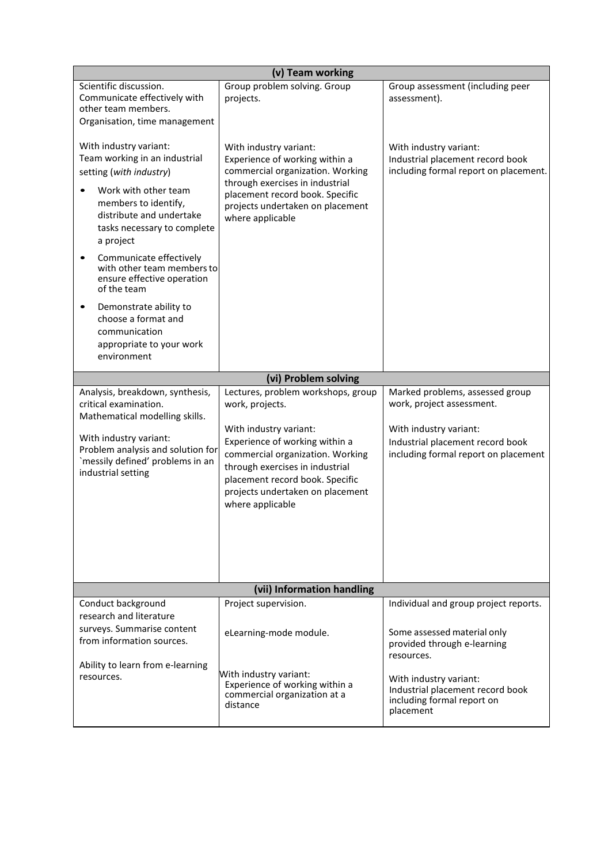| (v) Team working                                                                                                                                                                                                                                                                                                                                                                                                                   |                                                                                                                                                                                                                                                                                     |                                                                                                                                                                    |  |
|------------------------------------------------------------------------------------------------------------------------------------------------------------------------------------------------------------------------------------------------------------------------------------------------------------------------------------------------------------------------------------------------------------------------------------|-------------------------------------------------------------------------------------------------------------------------------------------------------------------------------------------------------------------------------------------------------------------------------------|--------------------------------------------------------------------------------------------------------------------------------------------------------------------|--|
| Scientific discussion.<br>Communicate effectively with<br>other team members.<br>Organisation, time management                                                                                                                                                                                                                                                                                                                     | Group problem solving. Group<br>projects.                                                                                                                                                                                                                                           | Group assessment (including peer<br>assessment).                                                                                                                   |  |
| With industry variant:<br>Team working in an industrial<br>setting (with industry)<br>Work with other team<br>members to identify,<br>distribute and undertake<br>tasks necessary to complete<br>a project<br>Communicate effectively<br>with other team members to<br>ensure effective operation<br>of the team<br>Demonstrate ability to<br>٠<br>choose a format and<br>communication<br>appropriate to your work<br>environment | With industry variant:<br>Experience of working within a<br>commercial organization. Working<br>through exercises in industrial<br>placement record book. Specific<br>projects undertaken on placement<br>where applicable                                                          | With industry variant:<br>Industrial placement record book<br>including formal report on placement.                                                                |  |
|                                                                                                                                                                                                                                                                                                                                                                                                                                    | (vi) Problem solving                                                                                                                                                                                                                                                                |                                                                                                                                                                    |  |
| Analysis, breakdown, synthesis,<br>critical examination.<br>Mathematical modelling skills.<br>With industry variant:<br>Problem analysis and solution for<br>`messily defined' problems in an<br>industrial setting                                                                                                                                                                                                                | Lectures, problem workshops, group<br>work, projects.<br>With industry variant:<br>Experience of working within a<br>commercial organization. Working<br>through exercises in industrial<br>placement record book. Specific<br>projects undertaken on placement<br>where applicable | Marked problems, assessed group<br>work, project assessment.<br>With industry variant:<br>Industrial placement record book<br>including formal report on placement |  |
|                                                                                                                                                                                                                                                                                                                                                                                                                                    | (vii) Information handling                                                                                                                                                                                                                                                          |                                                                                                                                                                    |  |
| Conduct background<br>research and literature<br>surveys. Summarise content<br>from information sources.<br>Ability to learn from e-learning                                                                                                                                                                                                                                                                                       | Project supervision.<br>eLearning-mode module.                                                                                                                                                                                                                                      | Individual and group project reports.<br>Some assessed material only<br>provided through e-learning<br>resources.                                                  |  |
| resources.                                                                                                                                                                                                                                                                                                                                                                                                                         | With industry variant:<br>Experience of working within a<br>commercial organization at a<br>distance                                                                                                                                                                                | With industry variant:<br>Industrial placement record book<br>including formal report on<br>placement                                                              |  |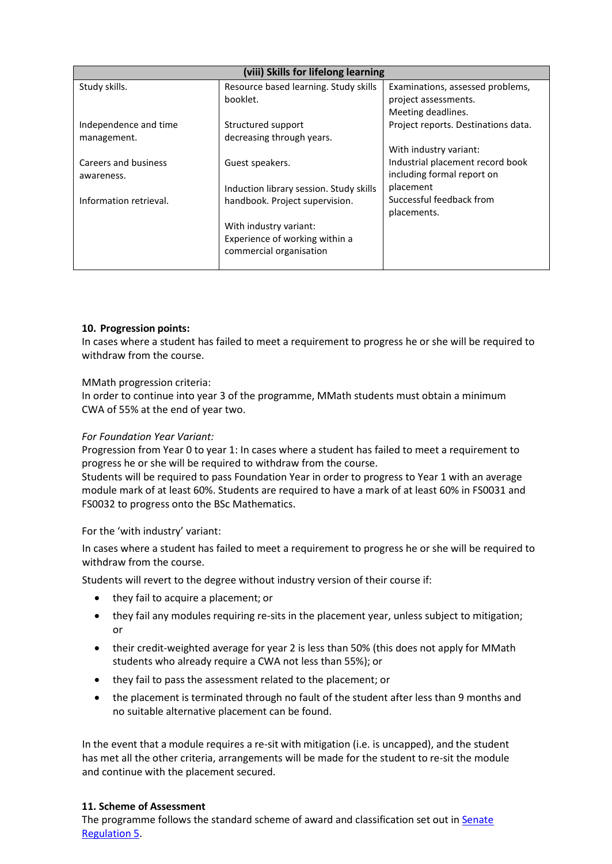| (viii) Skills for lifelong learning |                                                           |                                                                |
|-------------------------------------|-----------------------------------------------------------|----------------------------------------------------------------|
| Study skills.                       | Resource based learning. Study skills<br>booklet.         | Examinations, assessed problems,<br>project assessments.       |
|                                     |                                                           | Meeting deadlines.                                             |
| Independence and time               | Structured support                                        | Project reports. Destinations data.                            |
| management.                         | decreasing through years.                                 |                                                                |
|                                     |                                                           | With industry variant:                                         |
| Careers and business<br>awareness.  | Guest speakers.                                           | Industrial placement record book<br>including formal report on |
|                                     | Induction library session. Study skills                   | placement                                                      |
| Information retrieval.              | handbook. Project supervision.                            | Successful feedback from                                       |
|                                     |                                                           | placements.                                                    |
|                                     | With industry variant:                                    |                                                                |
|                                     | Experience of working within a<br>commercial organisation |                                                                |
|                                     |                                                           |                                                                |

# **10. Progression points:**

In cases where a student has failed to meet a requirement to progress he or she will be required to withdraw from the course.

### MMath progression criteria:

In order to continue into year 3 of the programme, MMath students must obtain a minimum CWA of 55% at the end of year two.

## *For Foundation Year Variant:*

Progression from Year 0 to year 1: In cases where a student has failed to meet a requirement to progress he or she will be required to withdraw from the course.

Students will be required to pass Foundation Year in order to progress to Year 1 with an average module mark of at least 60%. Students are required to have a mark of at least 60% in FS0031 and FS0032 to progress onto the BSc Mathematics.

For the 'with industry' variant:

In cases where a student has failed to meet a requirement to progress he or she will be required to withdraw from the course.

Students will revert to the degree without industry version of their course if:

- they fail to acquire a placement; or
- they fail any modules requiring re-sits in the placement year, unless subject to mitigation; or
- their credit-weighted average for year 2 is less than 50% (this does not apply for MMath students who already require a CWA not less than 55%); or
- they fail to pass the assessment related to the placement; or
- the placement is terminated through no fault of the student after less than 9 months and no suitable alternative placement can be found.

In the event that a module requires a re-sit with mitigation (i.e. is uncapped), and the student has met all the other criteria, arrangements will be made for the student to re-sit the module and continue with the placement secured.

### **11. Scheme of Assessment**

The programme follows the standard scheme of award and classification set out in Senate [Regulation 5.](http://www2.le.ac.uk/offices/sas2/regulations/general-regulations-for-taught-programmes)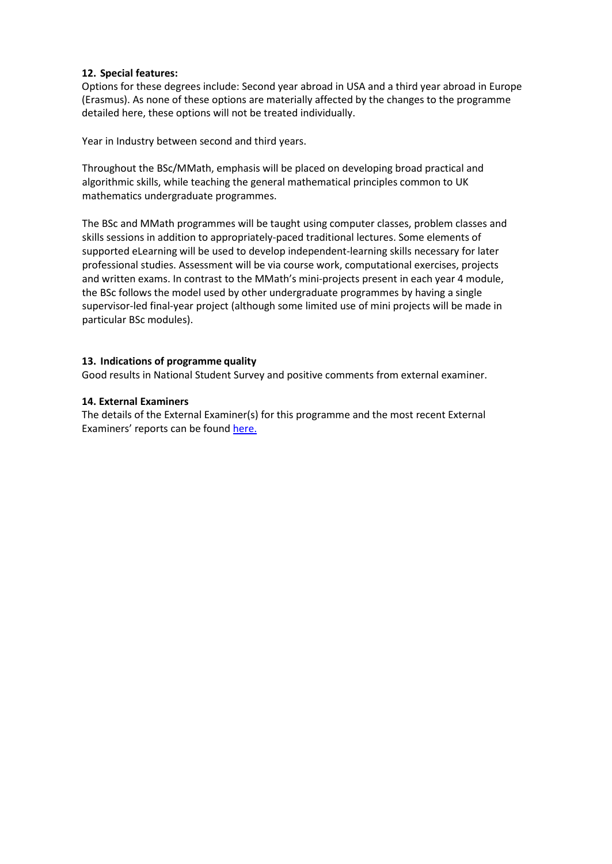# **12. Special features:**

Options for these degrees include: Second year abroad in USA and a third year abroad in Europe (Erasmus). As none of these options are materially affected by the changes to the programme detailed here, these options will not be treated individually.

Year in Industry between second and third years.

Throughout the BSc/MMath, emphasis will be placed on developing broad practical and algorithmic skills, while teaching the general mathematical principles common to UK mathematics undergraduate programmes.

The BSc and MMath programmes will be taught using computer classes, problem classes and skills sessions in addition to appropriately-paced traditional lectures. Some elements of supported eLearning will be used to develop independent-learning skills necessary for later professional studies. Assessment will be via course work, computational exercises, projects and written exams. In contrast to the MMath's mini-projects present in each year 4 module, the BSc follows the model used by other undergraduate programmes by having a single supervisor-led final-year project (although some limited use of mini projects will be made in particular BSc modules).

# **13. Indications of programme quality**

Good results in National Student Survey and positive comments from external examiner.

# **14. External Examiners**

The details of the External Examiner(s) for this programme and the most recent External Examiners' reports can be found [here.](https://exampapers.le.ac.uk/xmlui/handle/123456789/169)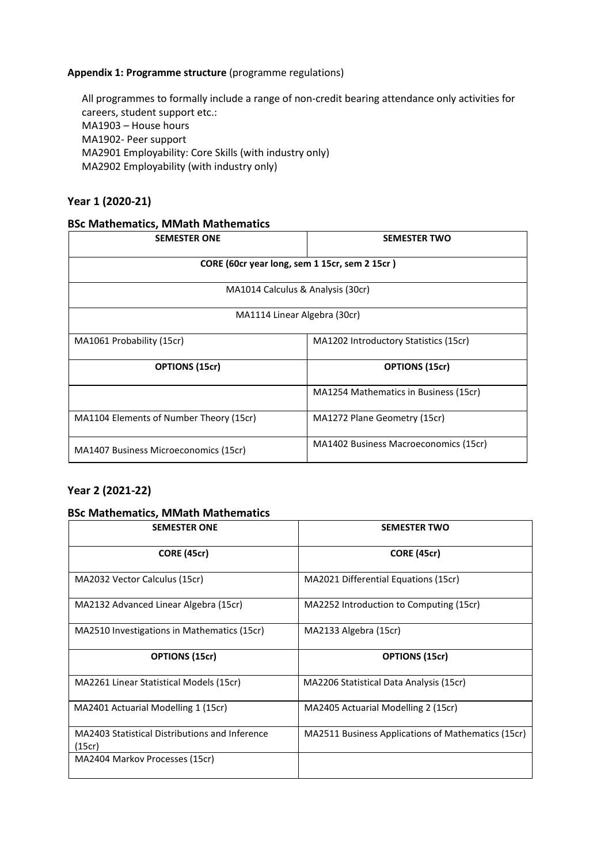# **Appendix 1: Programme structure** (programme regulations)

All programmes to formally include a range of non-credit bearing attendance only activities for careers, student support etc.: MA1903 – House hours MA1902- Peer support MA2901 Employability: Core Skills (with industry only) MA2902 Employability (with industry only)

# **Year 1 (2020-21)**

# **BSc Mathematics, MMath Mathematics**

| <b>SEMESTER ONE</b>                           | <b>SEMESTER TWO</b>                   |  |
|-----------------------------------------------|---------------------------------------|--|
| CORE (60cr year long, sem 1 15cr, sem 2 15cr) |                                       |  |
| MA1014 Calculus & Analysis (30cr)             |                                       |  |
| MA1114 Linear Algebra (30cr)                  |                                       |  |
| MA1061 Probability (15cr)                     | MA1202 Introductory Statistics (15cr) |  |
| <b>OPTIONS (15cr)</b>                         | <b>OPTIONS (15cr)</b>                 |  |
|                                               | MA1254 Mathematics in Business (15cr) |  |
| MA1104 Elements of Number Theory (15cr)       | MA1272 Plane Geometry (15cr)          |  |
| MA1407 Business Microeconomics (15cr)         | MA1402 Business Macroeconomics (15cr) |  |

# **Year 2 (2021-22)**

# **BSc Mathematics, MMath Mathematics**

| <b>SEMESTER ONE</b>                                      | <b>SEMESTER TWO</b>                                |
|----------------------------------------------------------|----------------------------------------------------|
| <b>CORE (45cr)</b>                                       | <b>CORE (45cr)</b>                                 |
| MA2032 Vector Calculus (15cr)                            | MA2021 Differential Equations (15cr)               |
| MA2132 Advanced Linear Algebra (15cr)                    | MA2252 Introduction to Computing (15cr)            |
| MA2510 Investigations in Mathematics (15cr)              | MA2133 Algebra (15cr)                              |
| <b>OPTIONS (15cr)</b>                                    | <b>OPTIONS (15cr)</b>                              |
| MA2261 Linear Statistical Models (15cr)                  | MA2206 Statistical Data Analysis (15cr)            |
| MA2401 Actuarial Modelling 1 (15cr)                      | MA2405 Actuarial Modelling 2 (15cr)                |
| MA2403 Statistical Distributions and Inference<br>(15cr) | MA2511 Business Applications of Mathematics (15cr) |
| MA2404 Markov Processes (15cr)                           |                                                    |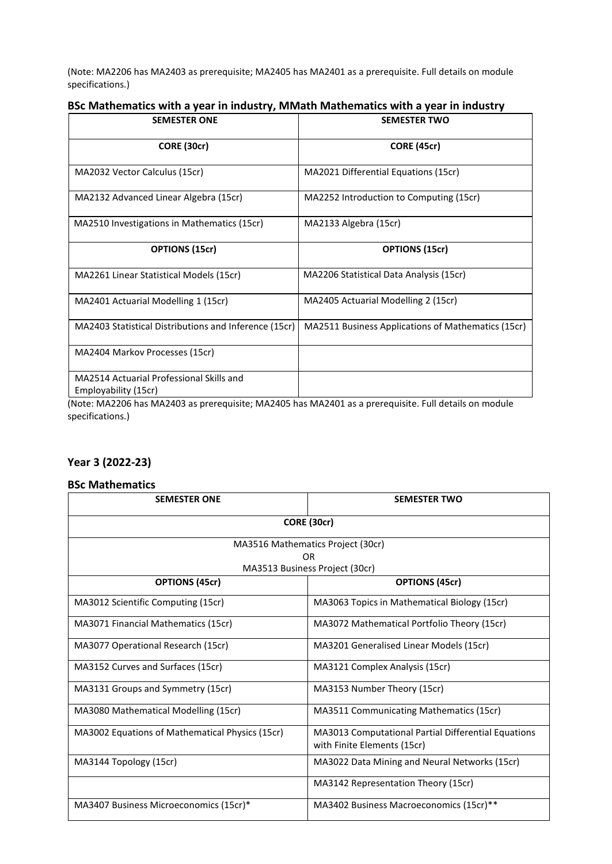(Note: MA2206 has MA2403 as prerequisite; MA2405 has MA2401 as a prerequisite. Full details on module specifications.)

# **BSc Mathematics with a year in industry, MMath Mathematics with a year in industry**

| <b>SEMESTER ONE</b>                                              | <b>SEMESTER TWO</b>                                |
|------------------------------------------------------------------|----------------------------------------------------|
| CORE (30cr)                                                      | <b>CORE (45cr)</b>                                 |
| MA2032 Vector Calculus (15cr)                                    | MA2021 Differential Equations (15cr)               |
| MA2132 Advanced Linear Algebra (15cr)                            | MA2252 Introduction to Computing (15cr)            |
| MA2510 Investigations in Mathematics (15cr)                      | MA2133 Algebra (15cr)                              |
| <b>OPTIONS (15cr)</b>                                            | <b>OPTIONS (15cr)</b>                              |
| MA2261 Linear Statistical Models (15cr)                          | MA2206 Statistical Data Analysis (15cr)            |
| MA2401 Actuarial Modelling 1 (15cr)                              | MA2405 Actuarial Modelling 2 (15cr)                |
| MA2403 Statistical Distributions and Inference (15cr)            | MA2511 Business Applications of Mathematics (15cr) |
| MA2404 Markov Processes (15cr)                                   |                                                    |
| MA2514 Actuarial Professional Skills and<br>Employability (15cr) |                                                    |

(Note: MA2206 has MA2403 as prerequisite; MA2405 has MA2401 as a prerequisite. Full details on module specifications.)

# **Year 3 (2022-23)**

### **BSc Mathematics**

| <b>SEMESTER ONE</b>                              | <b>SEMESTER TWO</b>                                                                |  |
|--------------------------------------------------|------------------------------------------------------------------------------------|--|
|                                                  | CORE (30cr)                                                                        |  |
| MA3516 Mathematics Project (30cr)                |                                                                                    |  |
| 0 <sub>R</sub><br>MA3513 Business Project (30cr) |                                                                                    |  |
| <b>OPTIONS (45cr)</b>                            | <b>OPTIONS (45cr)</b>                                                              |  |
| MA3012 Scientific Computing (15cr)               | MA3063 Topics in Mathematical Biology (15cr)                                       |  |
| MA3071 Financial Mathematics (15cr)              | MA3072 Mathematical Portfolio Theory (15cr)                                        |  |
| MA3077 Operational Research (15cr)               | MA3201 Generalised Linear Models (15cr)                                            |  |
| MA3152 Curves and Surfaces (15cr)                | MA3121 Complex Analysis (15cr)                                                     |  |
| MA3131 Groups and Symmetry (15cr)                | MA3153 Number Theory (15cr)                                                        |  |
| MA3080 Mathematical Modelling (15cr)             | MA3511 Communicating Mathematics (15cr)                                            |  |
| MA3002 Equations of Mathematical Physics (15cr)  | MA3013 Computational Partial Differential Equations<br>with Finite Elements (15cr) |  |
| MA3144 Topology (15cr)                           | MA3022 Data Mining and Neural Networks (15cr)                                      |  |
|                                                  | MA3142 Representation Theory (15cr)                                                |  |
| MA3407 Business Microeconomics (15cr)*           | MA3402 Business Macroeconomics (15cr)**                                            |  |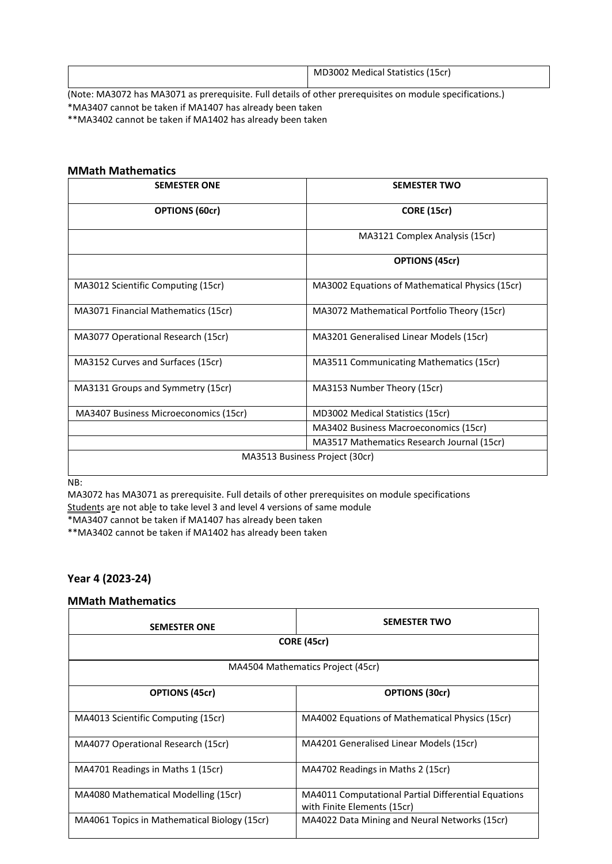|                                                                                                  |  | MD3002 Medical Statistics (15cr) |
|--------------------------------------------------------------------------------------------------|--|----------------------------------|
| (Neto MA2072 has MA2071 as proximity Full details of other proximiting an module specifications) |  |                                  |

(Note: MA3072 has MA3071 as prerequisite. Full details of other prerequisites on module specifications.) \*MA3407 cannot be taken if MA1407 has already been taken \*\*MA3402 cannot be taken if MA1402 has already been taken

### **MMath Mathematics**

| <b>SEMESTER ONE</b>                   | <b>SEMESTER TWO</b>                             |
|---------------------------------------|-------------------------------------------------|
| <b>OPTIONS (60cr)</b>                 | <b>CORE (15cr)</b>                              |
|                                       | MA3121 Complex Analysis (15cr)                  |
|                                       | <b>OPTIONS (45cr)</b>                           |
| MA3012 Scientific Computing (15cr)    | MA3002 Equations of Mathematical Physics (15cr) |
| MA3071 Financial Mathematics (15cr)   | MA3072 Mathematical Portfolio Theory (15cr)     |
| MA3077 Operational Research (15cr)    | MA3201 Generalised Linear Models (15cr)         |
| MA3152 Curves and Surfaces (15cr)     | MA3511 Communicating Mathematics (15cr)         |
| MA3131 Groups and Symmetry (15cr)     | MA3153 Number Theory (15cr)                     |
| MA3407 Business Microeconomics (15cr) | MD3002 Medical Statistics (15cr)                |
|                                       | MA3402 Business Macroeconomics (15cr)           |
|                                       | MA3517 Mathematics Research Journal (15cr)      |
|                                       | MA3513 Business Project (30cr)                  |

NB:

MA3072 has MA3071 as prerequisite. Full details of other prerequisites on module specifications Students are not able to take level 3 and level 4 versions of same module

\*MA3407 cannot be taken if MA1407 has already been taken

\*\*MA3402 cannot be taken if MA1402 has already been taken

# **Year 4 (2023-24)**

#### **MMath Mathematics**

| <b>SEMESTER ONE</b>                          | <b>SEMESTER TWO</b>                                                                       |  |
|----------------------------------------------|-------------------------------------------------------------------------------------------|--|
| <b>CORE (45cr)</b>                           |                                                                                           |  |
| MA4504 Mathematics Project (45cr)            |                                                                                           |  |
| <b>OPTIONS (45cr)</b>                        | <b>OPTIONS (30cr)</b>                                                                     |  |
| MA4013 Scientific Computing (15cr)           | MA4002 Equations of Mathematical Physics (15cr)                                           |  |
| MA4077 Operational Research (15cr)           | MA4201 Generalised Linear Models (15cr)                                                   |  |
| MA4701 Readings in Maths 1 (15cr)            | MA4702 Readings in Maths 2 (15cr)                                                         |  |
| MA4080 Mathematical Modelling (15cr)         | <b>MA4011 Computational Partial Differential Equations</b><br>with Finite Elements (15cr) |  |
| MA4061 Topics in Mathematical Biology (15cr) | MA4022 Data Mining and Neural Networks (15cr)                                             |  |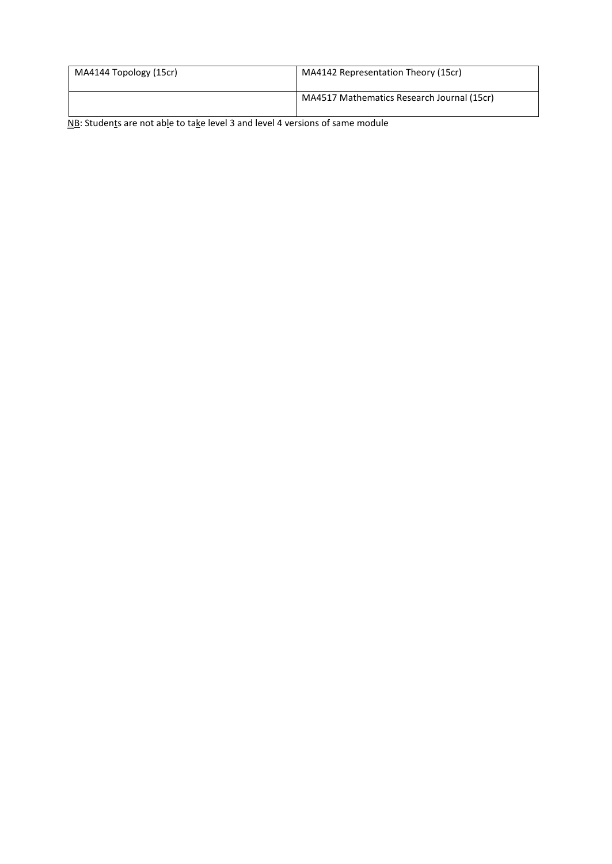| MA4144 Topology (15cr) | MA4142 Representation Theory (15cr)        |
|------------------------|--------------------------------------------|
|                        | MA4517 Mathematics Research Journal (15cr) |

NB: Students are not able to take level 3 and level 4 versions of same module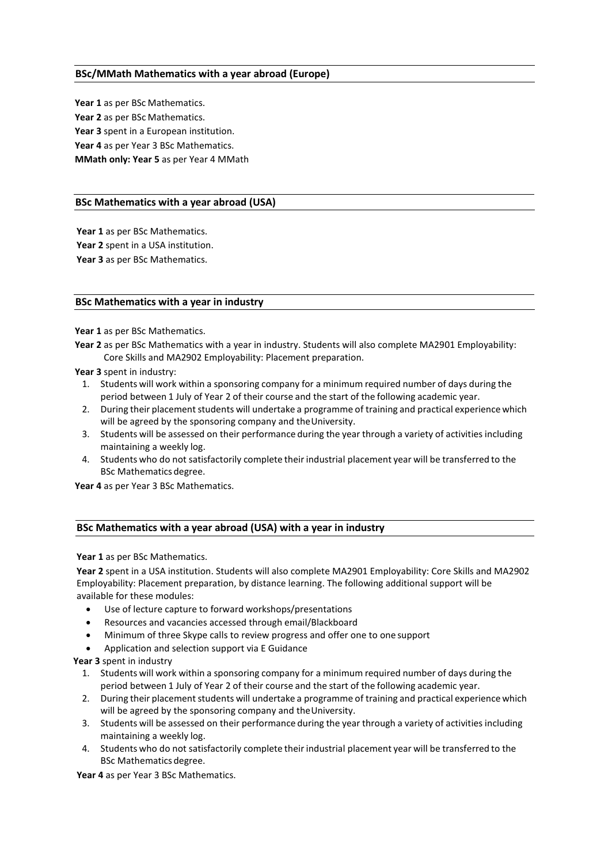### **BSc/MMath Mathematics with a year abroad (Europe)**

**Year 1** as per BSc Mathematics. **Year 2** as per BSc Mathematics. **Year 3** spent in a European institution. **Year 4** as per Year 3 BSc Mathematics. **MMath only: Year 5** as per Year 4 MMath

#### **BSc Mathematics with a year abroad (USA)**

**Year 1** as per BSc Mathematics. **Year 2** spent in a USA institution. **Year 3** as per BSc Mathematics.

#### **BSc Mathematics with a year in industry**

Year 1 as per BSc Mathematics.

**Year 2** as per BSc Mathematics with a year in industry. Students will also complete MA2901 Employability: Core Skills and MA2902 Employability: Placement preparation.

**Year 3** spent in industry:

- 1. Students will work within a sponsoring company for a minimum required number of days during the period between 1 July of Year 2 of their course and the start of the following academic year.
- 2. During their placement students will undertake a programme of training and practical experience which will be agreed by the sponsoring company and theUniversity.
- 3. Students will be assessed on their performance during the year through a variety of activities including maintaining a weekly log.
- 4. Students who do not satisfactorily complete their industrial placement year will be transferred to the BSc Mathematics degree.

**Year 4** as per Year 3 BSc Mathematics.

#### **BSc Mathematics with a year abroad (USA) with a year in industry**

**Year 1** as per BSc Mathematics.

**Year 2** spent in a USA institution. Students will also complete MA2901 Employability: Core Skills and MA2902 Employability: Placement preparation, by distance learning. The following additional support will be available for these modules:

- Use of lecture capture to forward workshops/presentations
- Resources and vacancies accessed through email/Blackboard
- Minimum of three Skype calls to review progress and offer one to one support
- Application and selection support via E Guidance

**Year 3** spent in industry

- 1. Students will work within a sponsoring company for a minimum required number of days during the period between 1 July of Year 2 of their course and the start of the following academic year.
- 2. During their placement students will undertake a programme of training and practical experience which will be agreed by the sponsoring company and theUniversity.
- 3. Students will be assessed on their performance during the year through a variety of activities including maintaining a weekly log.
- 4. Students who do not satisfactorily complete their industrial placement year will be transferred to the BSc Mathematics degree.

**Year 4** as per Year 3 BSc Mathematics.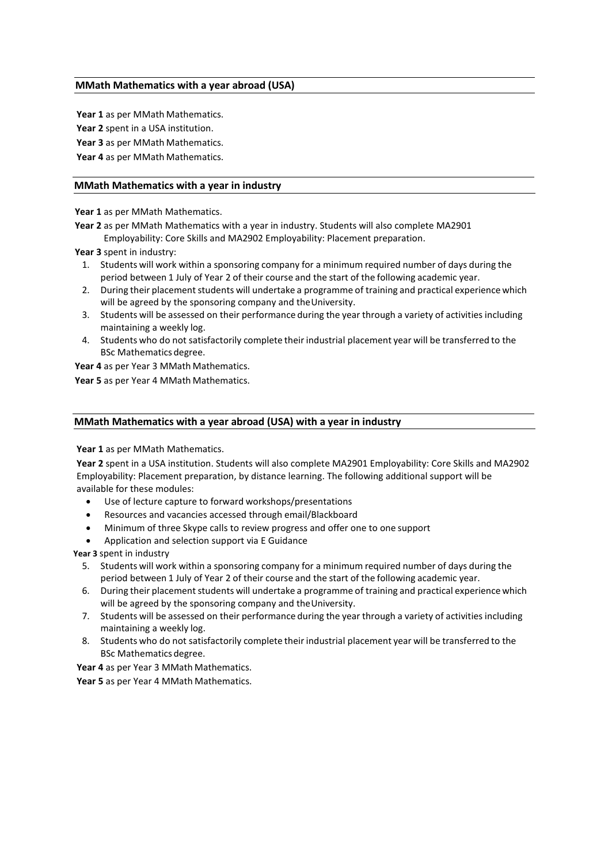#### **MMath Mathematics with a year abroad (USA)**

**Year 1** as per MMath Mathematics. **Year 2** spent in a USA institution. **Year 3** as per MMath Mathematics. **Year 4** as per MMath Mathematics.

#### **MMath Mathematics with a year in industry**

**Year 1** as per MMath Mathematics.

**Year 2** as per MMath Mathematics with a year in industry. Students will also complete MA2901 Employability: Core Skills and MA2902 Employability: Placement preparation.

**Year 3** spent in industry:

- 1. Students will work within a sponsoring company for a minimum required number of days during the period between 1 July of Year 2 of their course and the start of the following academic year.
- 2. During their placement students will undertake a programme of training and practical experience which will be agreed by the sponsoring company and theUniversity.
- 3. Students will be assessed on their performance during the year through a variety of activities including maintaining a weekly log.
- 4. Students who do not satisfactorily complete their industrial placement year will be transferred to the BSc Mathematics degree.

**Year 4** as per Year 3 MMath Mathematics. **Year 5** as per Year 4 MMath Mathematics.

#### **MMath Mathematics with a year abroad (USA) with a year in industry**

**Year 1** as per MMath Mathematics.

**Year 2** spent in a USA institution. Students will also complete MA2901 Employability: Core Skills and MA2902 Employability: Placement preparation, by distance learning. The following additional support will be available for these modules:

- Use of lecture capture to forward workshops/presentations
- Resources and vacancies accessed through email/Blackboard
- Minimum of three Skype calls to review progress and offer one to one support
- Application and selection support via E Guidance

**Year 3** spent in industry

- 5. Students will work within a sponsoring company for a minimum required number of days during the period between 1 July of Year 2 of their course and the start of the following academic year.
- 6. During their placement students will undertake a programme of training and practical experience which will be agreed by the sponsoring company and theUniversity.
- 7. Students will be assessed on their performance during the year through a variety of activities including maintaining a weekly log.
- 8. Students who do not satisfactorily complete their industrial placement year will be transferred to the BSc Mathematics degree.

**Year 4** as per Year 3 MMath Mathematics.

**Year 5** as per Year 4 MMath Mathematics.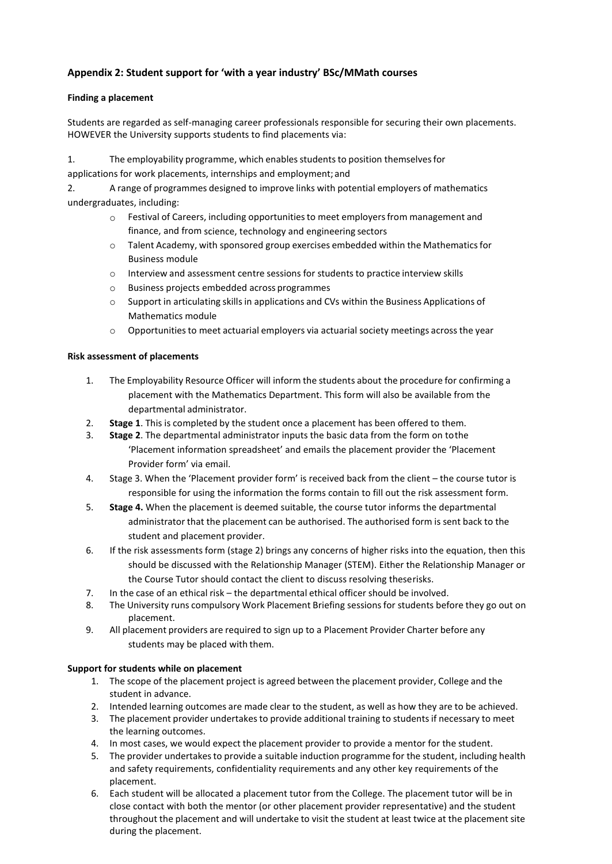# **Appendix 2: Student support for 'with a year industry' BSc/MMath courses**

### **Finding a placement**

Students are regarded as self-managing career professionals responsible for securing their own placements. HOWEVER the University supports students to find placements via:

1. The employability programme, which enablesstudentsto position themselvesfor

applications for work placements, internships and employment; and

2. A range of programmes designed to improve links with potential employers of mathematics undergraduates, including:

- $\circ$  Festival of Careers, including opportunities to meet employers from management and finance, and from science, technology and engineering sectors
- o Talent Academy, with sponsored group exercises embedded within the Mathematicsfor Business module
- o Interview and assessment centre sessions for students to practice interview skills
- o Business projects embedded across programmes
- $\circ$  Support in articulating skills in applications and CVs within the Business Applications of Mathematics module
- $\circ$  Opportunities to meet actuarial employers via actuarial society meetings across the year

### **Risk assessment of placements**

- 1. The Employability Resource Officer will inform the students about the procedure for confirming a placement with the Mathematics Department. This form will also be available from the departmental administrator.
- 2. **Stage 1**. This is completed by the student once a placement has been offered to them.
- 3. **Stage 2**. The departmental administrator inputs the basic data from the form on tothe 'Placement information spreadsheet' and emails the placement provider the 'Placement Provider form' via email.
- 4. Stage 3. When the 'Placement provider form' is received back from the client the course tutor is responsible for using the information the forms contain to fill out the risk assessment form.
- 5. **Stage 4.** When the placement is deemed suitable, the course tutor informs the departmental administrator that the placement can be authorised. The authorised form is sent back to the student and placement provider.
- 6. If the risk assessments form (stage 2) brings any concerns of higher risks into the equation, then this should be discussed with the Relationship Manager (STEM). Either the Relationship Manager or the Course Tutor should contact the client to discuss resolving theserisks.
- 7. In the case of an ethical risk the departmental ethical officer should be involved.
- 8. The University runs compulsory Work Placement Briefing sessions for students before they go out on placement.
- 9. All placement providers are required to sign up to a Placement Provider Charter before any students may be placed with them.

### **Support for students while on placement**

- 1. The scope of the placement project is agreed between the placement provider, College and the student in advance.
- 2. Intended learning outcomes are made clear to the student, as well as how they are to be achieved.
- 3. The placement provider undertakes to provide additional training to students if necessary to meet the learning outcomes.
- 4. In most cases, we would expect the placement provider to provide a mentor for the student.
- 5. The provider undertakesto provide a suitable induction programme for the student, including health and safety requirements, confidentiality requirements and any other key requirements of the placement.
- 6. Each student will be allocated a placement tutor from the College. The placement tutor will be in close contact with both the mentor (or other placement provider representative) and the student throughout the placement and will undertake to visit the student at least twice at the placement site during the placement.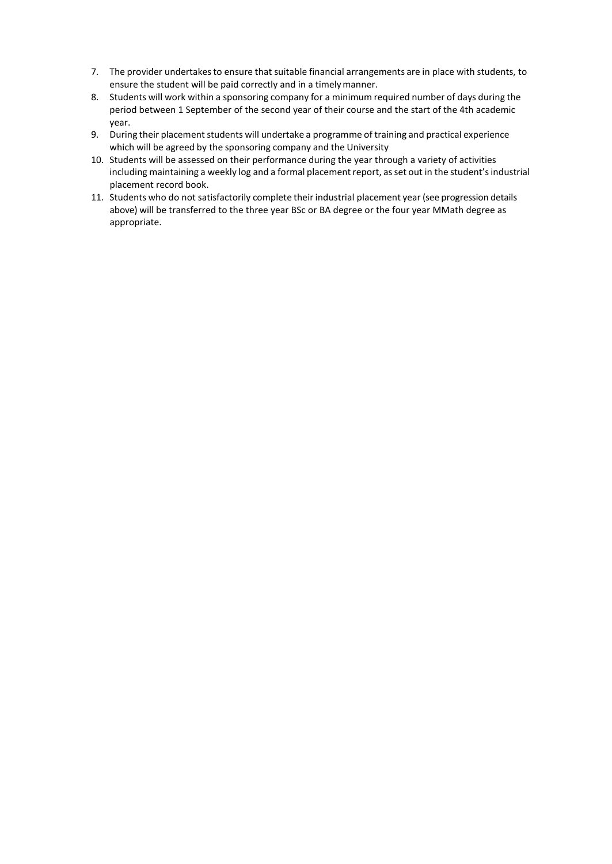- 7. The provider undertakesto ensure that suitable financial arrangements are in place with students, to ensure the student will be paid correctly and in a timelymanner.
- 8. Students will work within a sponsoring company for a minimum required number of days during the period between 1 September of the second year of their course and the start of the 4th academic year.
- 9. During their placement students will undertake a programme of training and practical experience which will be agreed by the sponsoring company and the University
- 10. Students will be assessed on their performance during the year through a variety of activities including maintaining a weekly log and a formal placement report, as set out in the student's industrial placement record book.
- 11. Students who do not satisfactorily complete their industrial placement year (see progression details above) will be transferred to the three year BSc or BA degree or the four year MMath degree as appropriate.